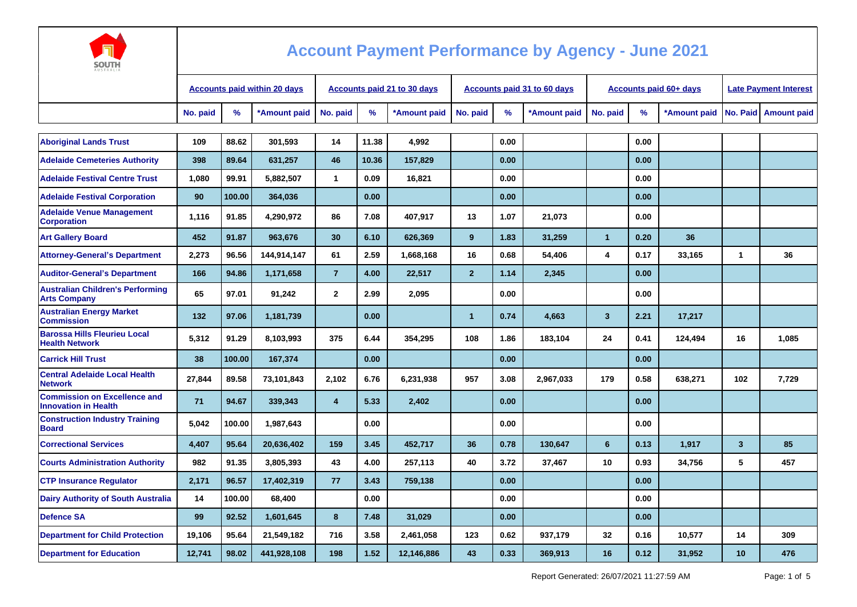

| חוטטכ                                                              |                                     |        |              |                                    |               |              |                |      |                                    |                |                               |                              |              |                        |
|--------------------------------------------------------------------|-------------------------------------|--------|--------------|------------------------------------|---------------|--------------|----------------|------|------------------------------------|----------------|-------------------------------|------------------------------|--------------|------------------------|
|                                                                    | <b>Accounts paid within 20 days</b> |        |              | <b>Accounts paid 21 to 30 days</b> |               |              |                |      | <b>Accounts paid 31 to 60 days</b> |                | <b>Accounts paid 60+ days</b> | <b>Late Payment Interest</b> |              |                        |
|                                                                    | No. paid                            | %      | *Amount paid | No. paid                           | $\frac{9}{6}$ | *Amount paid | No. paid       | %    | *Amount paid                       | No. paid       | %                             | *Amount paid                 |              | No. Paid   Amount paid |
| <b>Aboriginal Lands Trust</b>                                      | 109                                 | 88.62  | 301.593      | 14                                 | 11.38         | 4,992        |                | 0.00 |                                    |                | 0.00                          |                              |              |                        |
| <b>Adelaide Cemeteries Authority</b>                               | 398                                 | 89.64  | 631,257      | 46                                 | 10.36         | 157,829      |                | 0.00 |                                    |                | 0.00                          |                              |              |                        |
| <b>Adelaide Festival Centre Trust</b>                              | 1,080                               | 99.91  | 5,882,507    | 1                                  | 0.09          | 16,821       |                | 0.00 |                                    |                | 0.00                          |                              |              |                        |
| <b>Adelaide Festival Corporation</b>                               | 90                                  | 100.00 | 364,036      |                                    | 0.00          |              |                | 0.00 |                                    |                | 0.00                          |                              |              |                        |
| <b>Adelaide Venue Management</b><br><b>Corporation</b>             | 1,116                               | 91.85  | 4,290,972    | 86                                 | 7.08          | 407.917      | 13             | 1.07 | 21,073                             |                | 0.00                          |                              |              |                        |
| <b>Art Gallery Board</b>                                           | 452                                 | 91.87  | 963,676      | 30                                 | 6.10          | 626,369      | 9              | 1.83 | 31,259                             | $\mathbf{1}$   | 0.20                          | 36                           |              |                        |
| <b>Attorney-General's Department</b>                               | 2,273                               | 96.56  | 144,914,147  | 61                                 | 2.59          | 1,668,168    | 16             | 0.68 | 54,406                             | 4              | 0.17                          | 33,165                       | $\mathbf{1}$ | 36                     |
| <b>Auditor-General's Department</b>                                | 166                                 | 94.86  | 1,171,658    | $\overline{7}$                     | 4.00          | 22,517       | $\overline{2}$ | 1.14 | 2,345                              |                | 0.00                          |                              |              |                        |
| <b>Australian Children's Performing</b><br><b>Arts Company</b>     | 65                                  | 97.01  | 91,242       | $\mathbf{2}$                       | 2.99          | 2,095        |                | 0.00 |                                    |                | 0.00                          |                              |              |                        |
| <b>Australian Energy Market</b><br><b>Commission</b>               | 132                                 | 97.06  | 1,181,739    |                                    | 0.00          |              | $\mathbf{1}$   | 0.74 | 4,663                              | $\overline{3}$ | 2.21                          | 17,217                       |              |                        |
| <b>Barossa Hills Fleurieu Local</b><br><b>Health Network</b>       | 5,312                               | 91.29  | 8,103,993    | 375                                | 6.44          | 354,295      | 108            | 1.86 | 183,104                            | 24             | 0.41                          | 124,494                      | 16           | 1,085                  |
| <b>Carrick Hill Trust</b>                                          | 38                                  | 100.00 | 167,374      |                                    | 0.00          |              |                | 0.00 |                                    |                | 0.00                          |                              |              |                        |
| <b>Central Adelaide Local Health</b><br><b>Network</b>             | 27,844                              | 89.58  | 73,101,843   | 2,102                              | 6.76          | 6,231,938    | 957            | 3.08 | 2,967,033                          | 179            | 0.58                          | 638,271                      | 102          | 7.729                  |
| <b>Commission on Excellence and</b><br><b>Innovation in Health</b> | 71                                  | 94.67  | 339.343      | $\overline{4}$                     | 5.33          | 2,402        |                | 0.00 |                                    |                | 0.00                          |                              |              |                        |
| <b>Construction Industry Training</b><br><b>Board</b>              | 5.042                               | 100.00 | 1,987,643    |                                    | 0.00          |              |                | 0.00 |                                    |                | 0.00                          |                              |              |                        |
| <b>Correctional Services</b>                                       | 4.407                               | 95.64  | 20,636,402   | 159                                | 3.45          | 452.717      | 36             | 0.78 | 130.647                            | 6              | 0.13                          | 1.917                        | $\mathbf{3}$ | 85                     |
| <b>Courts Administration Authority</b>                             | 982                                 | 91.35  | 3,805,393    | 43                                 | 4.00          | 257,113      | 40             | 3.72 | 37,467                             | 10             | 0.93                          | 34,756                       | 5            | 457                    |
| <b>CTP Insurance Requlator</b>                                     | 2,171                               | 96.57  | 17,402,319   | 77                                 | 3.43          | 759,138      |                | 0.00 |                                    |                | 0.00                          |                              |              |                        |
| <b>Dairy Authority of South Australia</b>                          | 14                                  | 100.00 | 68,400       |                                    | 0.00          |              |                | 0.00 |                                    |                | 0.00                          |                              |              |                        |
| <b>Defence SA</b>                                                  | 99                                  | 92.52  | 1,601,645    | 8                                  | 7.48          | 31,029       |                | 0.00 |                                    |                | 0.00                          |                              |              |                        |
| <b>Department for Child Protection</b>                             | 19,106                              | 95.64  | 21,549,182   | 716                                | 3.58          | 2,461,058    | 123            | 0.62 | 937,179                            | 32             | 0.16                          | 10,577                       | 14           | 309                    |
| <b>Department for Education</b>                                    | 12,741                              | 98.02  | 441,928,108  | 198                                | 1.52          | 12,146,886   | 43             | 0.33 | 369,913                            | 16             | 0.12                          | 31,952                       | 10           | 476                    |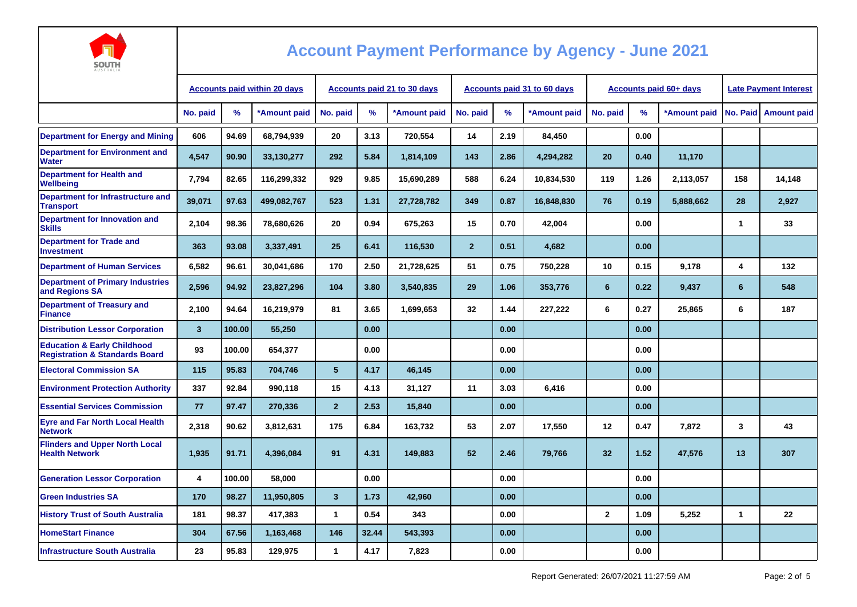

| <b>AUSTRALIA</b>                                                                    |                                     |        |              |                                    |       |              |                                    |      |              |                        |      |              |                              |                      |
|-------------------------------------------------------------------------------------|-------------------------------------|--------|--------------|------------------------------------|-------|--------------|------------------------------------|------|--------------|------------------------|------|--------------|------------------------------|----------------------|
|                                                                                     | <b>Accounts paid within 20 days</b> |        |              | <b>Accounts paid 21 to 30 days</b> |       |              | <b>Accounts paid 31 to 60 days</b> |      |              | Accounts paid 60+ days |      |              | <b>Late Payment Interest</b> |                      |
|                                                                                     | No. paid                            | $\%$   | *Amount paid | No. paid                           | %     | *Amount paid | No. paid                           | $\%$ | *Amount paid | No. paid               | $\%$ | *Amount paid |                              | No. Paid Amount paid |
| <b>Department for Energy and Mining</b>                                             | 606                                 | 94.69  | 68,794,939   | 20                                 | 3.13  | 720,554      | 14                                 | 2.19 | 84,450       |                        | 0.00 |              |                              |                      |
| <b>Department for Environment and</b><br><b>Water</b>                               | 4,547                               | 90.90  | 33,130,277   | 292                                | 5.84  | 1,814,109    | 143                                | 2.86 | 4,294,282    | 20                     | 0.40 | 11,170       |                              |                      |
| <b>Department for Health and</b><br><b>Wellbeing</b>                                | 7,794                               | 82.65  | 116,299,332  | 929                                | 9.85  | 15,690,289   | 588                                | 6.24 | 10,834,530   | 119                    | 1.26 | 2,113,057    | 158                          | 14,148               |
| Department for Infrastructure and<br><b>Transport</b>                               | 39,071                              | 97.63  | 499,082,767  | 523                                | 1.31  | 27,728,782   | 349                                | 0.87 | 16,848,830   | 76                     | 0.19 | 5,888,662    | 28                           | 2,927                |
| Department for Innovation and<br><b>Skills</b>                                      | 2,104                               | 98.36  | 78,680,626   | 20                                 | 0.94  | 675,263      | 15                                 | 0.70 | 42,004       |                        | 0.00 |              | 1                            | 33                   |
| <b>Department for Trade and</b><br><b>Investment</b>                                | 363                                 | 93.08  | 3,337,491    | 25                                 | 6.41  | 116,530      | $\overline{2}$                     | 0.51 | 4,682        |                        | 0.00 |              |                              |                      |
| <b>Department of Human Services</b>                                                 | 6,582                               | 96.61  | 30,041,686   | 170                                | 2.50  | 21,728,625   | 51                                 | 0.75 | 750,228      | 10                     | 0.15 | 9,178        | 4                            | 132                  |
| <b>Department of Primary Industries</b><br>and Regions SA                           | 2,596                               | 94.92  | 23,827,296   | 104                                | 3.80  | 3,540,835    | 29                                 | 1.06 | 353,776      | 6                      | 0.22 | 9,437        | 6                            | 548                  |
| <b>Department of Treasury and</b><br><b>Finance</b>                                 | 2,100                               | 94.64  | 16.219.979   | 81                                 | 3.65  | 1,699,653    | 32                                 | 1.44 | 227,222      | 6                      | 0.27 | 25,865       | 6                            | 187                  |
| <b>Distribution Lessor Corporation</b>                                              | $\overline{3}$                      | 100.00 | 55,250       |                                    | 0.00  |              |                                    | 0.00 |              |                        | 0.00 |              |                              |                      |
| <b>Education &amp; Early Childhood</b><br><b>Registration &amp; Standards Board</b> | 93                                  | 100.00 | 654,377      |                                    | 0.00  |              |                                    | 0.00 |              |                        | 0.00 |              |                              |                      |
| <b>Electoral Commission SA</b>                                                      | 115                                 | 95.83  | 704,746      | 5                                  | 4.17  | 46,145       |                                    | 0.00 |              |                        | 0.00 |              |                              |                      |
| <b>Environment Protection Authority</b>                                             | 337                                 | 92.84  | 990.118      | 15                                 | 4.13  | 31,127       | 11                                 | 3.03 | 6,416        |                        | 0.00 |              |                              |                      |
| <b>Essential Services Commission</b>                                                | 77                                  | 97.47  | 270,336      | $\overline{2}$                     | 2.53  | 15,840       |                                    | 0.00 |              |                        | 0.00 |              |                              |                      |
| <b>Eyre and Far North Local Health</b><br><b>Network</b>                            | 2,318                               | 90.62  | 3,812,631    | 175                                | 6.84  | 163,732      | 53                                 | 2.07 | 17,550       | 12                     | 0.47 | 7,872        | 3                            | 43                   |
| <b>Flinders and Upper North Local</b><br><b>Health Network</b>                      | 1,935                               | 91.71  | 4,396,084    | 91                                 | 4.31  | 149,883      | 52                                 | 2.46 | 79,766       | 32                     | 1.52 | 47,576       | 13                           | 307                  |
| <b>Generation Lessor Corporation</b>                                                | 4                                   | 100.00 | 58,000       |                                    | 0.00  |              |                                    | 0.00 |              |                        | 0.00 |              |                              |                      |
| <b>Green Industries SA</b>                                                          | 170                                 | 98.27  | 11,950,805   | $\overline{\mathbf{3}}$            | 1.73  | 42,960       |                                    | 0.00 |              |                        | 0.00 |              |                              |                      |
| <b>History Trust of South Australia</b>                                             | 181                                 | 98.37  | 417,383      | 1                                  | 0.54  | 343          |                                    | 0.00 |              | $\overline{2}$         | 1.09 | 5,252        | 1                            | 22                   |
| <b>HomeStart Finance</b>                                                            | 304                                 | 67.56  | 1,163,468    | 146                                | 32.44 | 543,393      |                                    | 0.00 |              |                        | 0.00 |              |                              |                      |
| <b>Infrastructure South Australia</b>                                               | 23                                  | 95.83  | 129,975      | 1                                  | 4.17  | 7,823        |                                    | 0.00 |              |                        | 0.00 |              |                              |                      |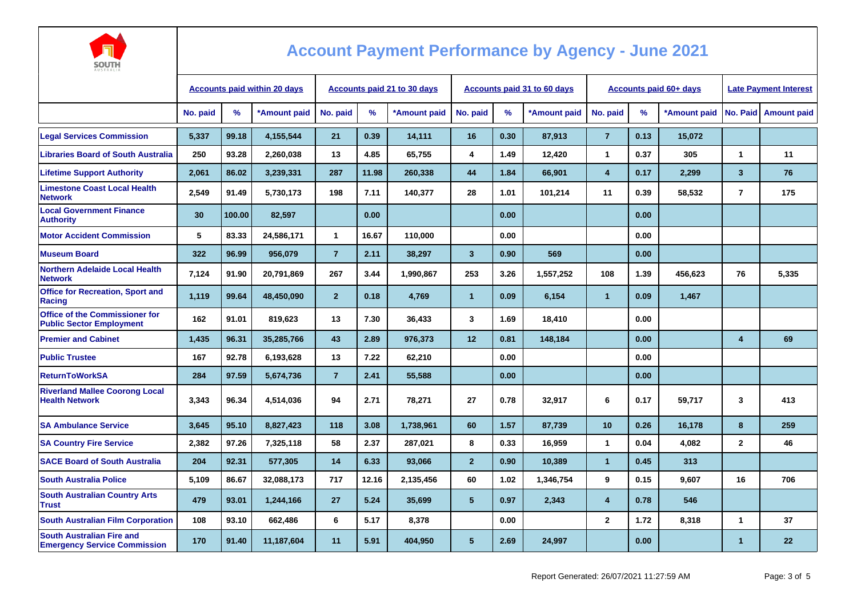

| AUSTRALIA                                                               |                                     |        |              |                                    |       |              |                             |      |              |                |                        |                              |                |                        |
|-------------------------------------------------------------------------|-------------------------------------|--------|--------------|------------------------------------|-------|--------------|-----------------------------|------|--------------|----------------|------------------------|------------------------------|----------------|------------------------|
|                                                                         | <b>Accounts paid within 20 days</b> |        |              | <b>Accounts paid 21 to 30 days</b> |       |              | Accounts paid 31 to 60 days |      |              |                | Accounts paid 60+ days | <b>Late Pavment Interest</b> |                |                        |
|                                                                         | No. paid                            | %      | *Amount paid | No. paid                           | %     | *Amount paid | No. paid                    | %    | *Amount paid | No. paid       | $\%$                   | *Amount paid                 |                | No. Paid   Amount paid |
| <b>Legal Services Commission</b>                                        | 5,337                               | 99.18  | 4,155,544    | 21                                 | 0.39  | 14,111       | 16                          | 0.30 | 87,913       | $\overline{7}$ | 0.13                   | 15,072                       |                |                        |
| <b>Libraries Board of South Australia</b>                               | 250                                 | 93.28  | 2,260,038    | 13                                 | 4.85  | 65,755       | 4                           | 1.49 | 12,420       | $\mathbf{1}$   | 0.37                   | 305                          | $\overline{1}$ | 11                     |
| <b>Lifetime Support Authority</b>                                       | 2.061                               | 86.02  | 3,239,331    | 287                                | 11.98 | 260,338      | 44                          | 1.84 | 66,901       | 4              | 0.17                   | 2,299                        | $\overline{3}$ | 76                     |
| <b>Limestone Coast Local Health</b><br><b>Network</b>                   | 2,549                               | 91.49  | 5,730,173    | 198                                | 7.11  | 140,377      | 28                          | 1.01 | 101,214      | 11             | 0.39                   | 58,532                       | $\overline{7}$ | 175                    |
| <b>Local Government Finance</b><br><b>Authority</b>                     | 30                                  | 100.00 | 82,597       |                                    | 0.00  |              |                             | 0.00 |              |                | 0.00                   |                              |                |                        |
| <b>Motor Accident Commission</b>                                        | 5                                   | 83.33  | 24.586.171   | $\mathbf{1}$                       | 16.67 | 110.000      |                             | 0.00 |              |                | 0.00                   |                              |                |                        |
| <b>Museum Board</b>                                                     | 322                                 | 96.99  | 956,079      | $\overline{7}$                     | 2.11  | 38,297       | $\overline{3}$              | 0.90 | 569          |                | 0.00                   |                              |                |                        |
| <b>Northern Adelaide Local Health</b><br><b>Network</b>                 | 7.124                               | 91.90  | 20,791,869   | 267                                | 3.44  | 1,990,867    | 253                         | 3.26 | 1,557,252    | 108            | 1.39                   | 456,623                      | 76             | 5.335                  |
| <b>Office for Recreation, Sport and</b><br>Racing                       | 1,119                               | 99.64  | 48,450,090   | $\overline{2}$                     | 0.18  | 4,769        | $\overline{1}$              | 0.09 | 6,154        | $\mathbf{1}$   | 0.09                   | 1,467                        |                |                        |
| Office of the Commissioner for<br><b>Public Sector Employment</b>       | 162                                 | 91.01  | 819,623      | 13                                 | 7.30  | 36,433       | 3                           | 1.69 | 18,410       |                | 0.00                   |                              |                |                        |
| <b>Premier and Cabinet</b>                                              | 1.435                               | 96.31  | 35.285.766   | 43                                 | 2.89  | 976.373      | 12                          | 0.81 | 148.184      |                | 0.00                   |                              | 4              | 69                     |
| <b>Public Trustee</b>                                                   | 167                                 | 92.78  | 6,193,628    | 13                                 | 7.22  | 62,210       |                             | 0.00 |              |                | 0.00                   |                              |                |                        |
| <b>ReturnToWorkSA</b>                                                   | 284                                 | 97.59  | 5,674,736    | $\overline{7}$                     | 2.41  | 55,588       |                             | 0.00 |              |                | 0.00                   |                              |                |                        |
| <b>Riverland Mallee Coorong Local</b><br><b>Health Network</b>          | 3,343                               | 96.34  | 4,514,036    | 94                                 | 2.71  | 78,271       | 27                          | 0.78 | 32,917       | 6              | 0.17                   | 59,717                       | 3              | 413                    |
| <b>SA Ambulance Service</b>                                             | 3,645                               | 95.10  | 8,827,423    | 118                                | 3.08  | 1,738,961    | 60                          | 1.57 | 87,739       | 10             | 0.26                   | 16,178                       | 8              | 259                    |
| <b>SA Country Fire Service</b>                                          | 2,382                               | 97.26  | 7,325,118    | 58                                 | 2.37  | 287,021      | 8                           | 0.33 | 16,959       | $\mathbf{1}$   | 0.04                   | 4,082                        | $\mathbf{2}$   | 46                     |
| <b>SACE Board of South Australia</b>                                    | 204                                 | 92.31  | 577,305      | 14                                 | 6.33  | 93,066       | $\overline{2}$              | 0.90 | 10,389       | $\overline{1}$ | 0.45                   | 313                          |                |                        |
| <b>South Australia Police</b>                                           | 5.109                               | 86.67  | 32,088,173   | 717                                | 12.16 | 2,135,456    | 60                          | 1.02 | 1,346,754    | 9              | 0.15                   | 9,607                        | 16             | 706                    |
| <b>South Australian Country Arts</b><br><b>Trust</b>                    | 479                                 | 93.01  | 1,244,166    | 27                                 | 5.24  | 35,699       | 5                           | 0.97 | 2,343        | 4              | 0.78                   | 546                          |                |                        |
| <b>South Australian Film Corporation</b>                                | 108                                 | 93.10  | 662,486      | 6                                  | 5.17  | 8,378        |                             | 0.00 |              | $\overline{2}$ | 1.72                   | 8,318                        | $\mathbf{1}$   | 37                     |
| <b>South Australian Fire and</b><br><b>Emergency Service Commission</b> | 170                                 | 91.40  | 11,187,604   | 11                                 | 5.91  | 404,950      | 5 <sup>5</sup>              | 2.69 | 24,997       |                | 0.00                   |                              | $\mathbf{1}$   | $22 \overline{ }$      |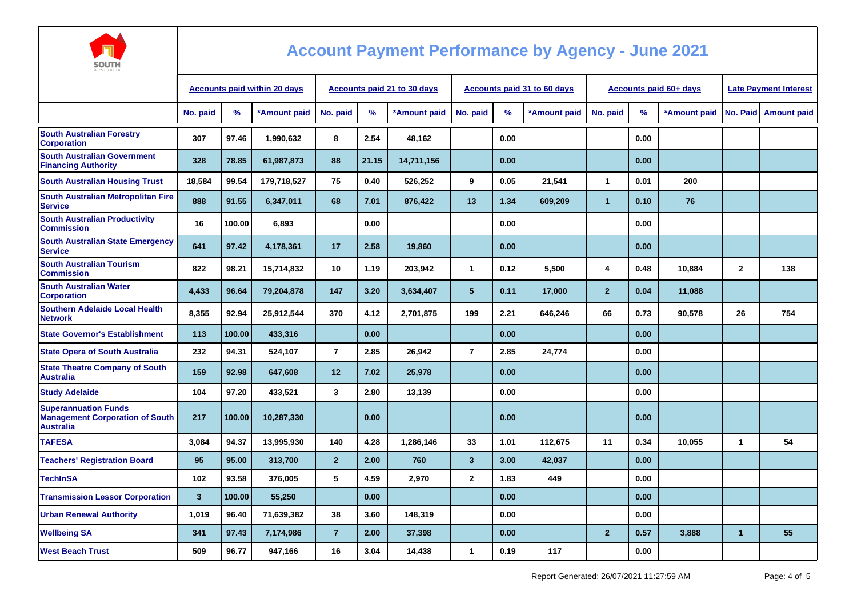

| AUSTRALIA                                                                                 |                                     |        |              |                             |       |              |                |      |                             |                |      |                        |                              |                                   |
|-------------------------------------------------------------------------------------------|-------------------------------------|--------|--------------|-----------------------------|-------|--------------|----------------|------|-----------------------------|----------------|------|------------------------|------------------------------|-----------------------------------|
|                                                                                           | <b>Accounts paid within 20 days</b> |        |              | Accounts paid 21 to 30 days |       |              |                |      | Accounts paid 31 to 60 days |                |      | Accounts paid 60+ days | <b>Late Payment Interest</b> |                                   |
|                                                                                           | No. paid                            | $\%$   | *Amount paid | No. paid                    | $\%$  | *Amount paid | No. paid       | %    | *Amount paid                | No. paid       | %    |                        |                              | *Amount paid No. Paid Amount paid |
| <b>South Australian Forestry</b><br><b>Corporation</b>                                    | 307                                 | 97.46  | 1,990,632    | 8                           | 2.54  | 48,162       |                | 0.00 |                             |                | 0.00 |                        |                              |                                   |
| <b>South Australian Government</b><br><b>Financing Authority</b>                          | 328                                 | 78.85  | 61,987,873   | 88                          | 21.15 | 14,711,156   |                | 0.00 |                             |                | 0.00 |                        |                              |                                   |
| <b>South Australian Housing Trust</b>                                                     | 18,584                              | 99.54  | 179,718,527  | 75                          | 0.40  | 526,252      | 9              | 0.05 | 21,541                      | $\mathbf{1}$   | 0.01 | 200                    |                              |                                   |
| South Australian Metropolitan Fire<br><b>Service</b>                                      | 888                                 | 91.55  | 6,347,011    | 68                          | 7.01  | 876,422      | 13             | 1.34 | 609,209                     | $\mathbf{1}$   | 0.10 | 76                     |                              |                                   |
| <b>South Australian Productivity</b><br><b>Commission</b>                                 | 16                                  | 100.00 | 6,893        |                             | 0.00  |              |                | 0.00 |                             |                | 0.00 |                        |                              |                                   |
| <b>South Australian State Emergency</b><br><b>Service</b>                                 | 641                                 | 97.42  | 4,178,361    | 17                          | 2.58  | 19,860       |                | 0.00 |                             |                | 0.00 |                        |                              |                                   |
| <b>South Australian Tourism</b><br><b>Commission</b>                                      | 822                                 | 98.21  | 15,714,832   | 10                          | 1.19  | 203,942      | $\mathbf{1}$   | 0.12 | 5,500                       | 4              | 0.48 | 10,884                 | $\mathbf{2}$                 | 138                               |
| <b>South Australian Water</b><br><b>Corporation</b>                                       | 4,433                               | 96.64  | 79,204,878   | 147                         | 3.20  | 3,634,407    | 5              | 0.11 | 17,000                      | $\overline{2}$ | 0.04 | 11,088                 |                              |                                   |
| <b>Southern Adelaide Local Health</b><br><b>Network</b>                                   | 8,355                               | 92.94  | 25,912,544   | 370                         | 4.12  | 2,701,875    | 199            | 2.21 | 646,246                     | 66             | 0.73 | 90,578                 | 26                           | 754                               |
| <b>State Governor's Establishment</b>                                                     | 113                                 | 100.00 | 433,316      |                             | 0.00  |              |                | 0.00 |                             |                | 0.00 |                        |                              |                                   |
| <b>State Opera of South Australia</b>                                                     | 232                                 | 94.31  | 524,107      | $\overline{7}$              | 2.85  | 26,942       | $\overline{7}$ | 2.85 | 24,774                      |                | 0.00 |                        |                              |                                   |
| <b>State Theatre Company of South</b><br><b>Australia</b>                                 | 159                                 | 92.98  | 647,608      | 12                          | 7.02  | 25,978       |                | 0.00 |                             |                | 0.00 |                        |                              |                                   |
| <b>Study Adelaide</b>                                                                     | 104                                 | 97.20  | 433,521      | 3                           | 2.80  | 13,139       |                | 0.00 |                             |                | 0.00 |                        |                              |                                   |
| <b>Superannuation Funds</b><br><b>Management Corporation of South</b><br><b>Australia</b> | 217                                 | 100.00 | 10,287,330   |                             | 0.00  |              |                | 0.00 |                             |                | 0.00 |                        |                              |                                   |
| <b>TAFESA</b>                                                                             | 3,084                               | 94.37  | 13,995,930   | 140                         | 4.28  | 1,286,146    | 33             | 1.01 | 112,675                     | 11             | 0.34 | 10,055                 | 1                            | 54                                |
| <b>Teachers' Registration Board</b>                                                       | 95                                  | 95.00  | 313,700      | 2 <sup>2</sup>              | 2.00  | 760          | $\mathbf{3}$   | 3.00 | 42,037                      |                | 0.00 |                        |                              |                                   |
| <b>TechInSA</b>                                                                           | 102                                 | 93.58  | 376,005      | 5                           | 4.59  | 2,970        | $\overline{2}$ | 1.83 | 449                         |                | 0.00 |                        |                              |                                   |
| <b>Transmission Lessor Corporation</b>                                                    | $\overline{3}$                      | 100.00 | 55,250       |                             | 0.00  |              |                | 0.00 |                             |                | 0.00 |                        |                              |                                   |
| <b>Urban Renewal Authority</b>                                                            | 1,019                               | 96.40  | 71,639,382   | 38                          | 3.60  | 148,319      |                | 0.00 |                             |                | 0.00 |                        |                              |                                   |
| <b>Wellbeing SA</b>                                                                       | 341                                 | 97.43  | 7,174,986    | $\overline{7}$              | 2.00  | 37,398       |                | 0.00 |                             | $\overline{2}$ | 0.57 | 3,888                  | $\mathbf{1}$                 | 55                                |
| <b>West Beach Trust</b>                                                                   | 509                                 | 96.77  | 947,166      | 16                          | 3.04  | 14,438       | $\mathbf{1}$   | 0.19 | 117                         |                | 0.00 |                        |                              |                                   |